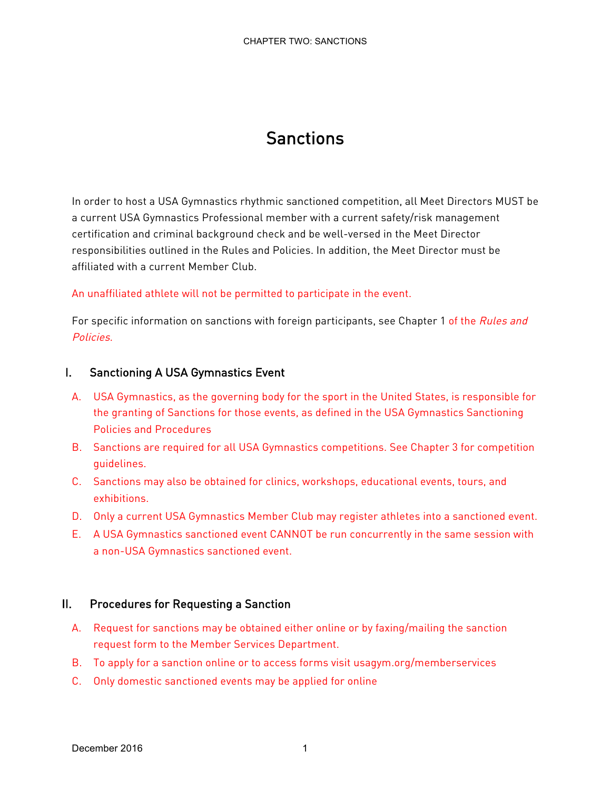# Sanctions

In order to host a USA Gymnastics rhythmic sanctioned competition, all Meet Directors MUST be a current USA Gymnastics Professional member with a current safety/risk management certification and criminal background check and be well-versed in the Meet Director responsibilities outlined in the Rules and Policies. In addition, the Meet Director must be affiliated with a current Member Club.

#### An unaffiliated athlete will not be permitted to participate in the event.

For specific information on sanctions with foreign participants, see Chapter 1 of the Rules and Policies.

#### I. Sanctioning A USA Gymnastics Event

- A. USA Gymnastics, as the governing body for the sport in the United States, is responsible for the granting of Sanctions for those events, as defined in the USA Gymnastics Sanctioning Policies and Procedures
- B. Sanctions are required for all USA Gymnastics competitions. See Chapter 3 for competition guidelines.
- C. Sanctions may also be obtained for clinics, workshops, educational events, tours, and exhibitions.
- D. Only a current USA Gymnastics Member Club may register athletes into a sanctioned event.
- E. A USA Gymnastics sanctioned event CANNOT be run concurrently in the same session with a non-USA Gymnastics sanctioned event.

#### II. Procedures for Requesting a Sanction

- A. Request for sanctions may be obtained either online or by faxing/mailing the sanction request form to the Member Services Department.
- B. To apply for a sanction online or to access forms visit usagym.org/memberservices
- C. Only domestic sanctioned events may be applied for online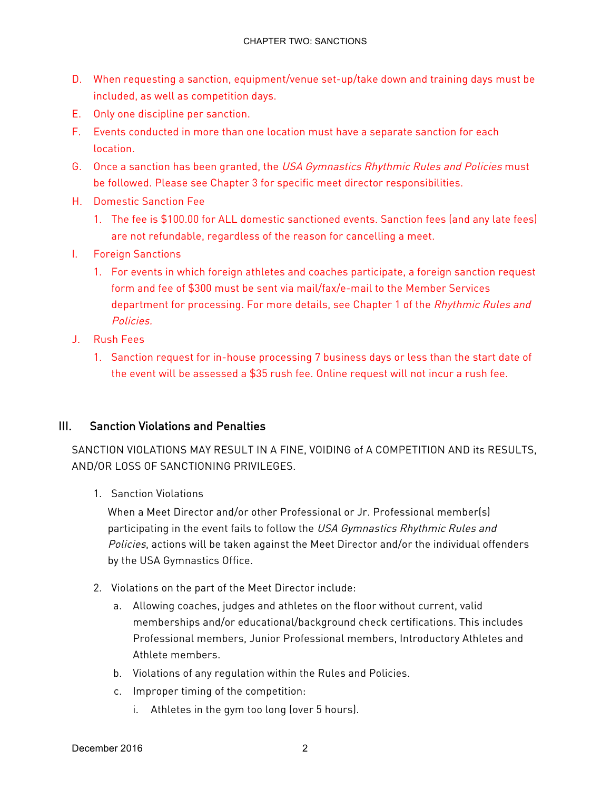- D. When requesting a sanction, equipment/venue set-up/take down and training days must be included, as well as competition days.
- E. Only one discipline per sanction.
- F. Events conducted in more than one location must have a separate sanction for each location.
- G. Once a sanction has been granted, the USA Gymnastics Rhythmic Rules and Policies must be followed. Please see Chapter 3 for specific meet director responsibilities.
- H. Domestic Sanction Fee
	- 1. The fee is \$100.00 for ALL domestic sanctioned events. Sanction fees (and any late fees) are not refundable, regardless of the reason for cancelling a meet.
- I. Foreign Sanctions
	- 1. For events in which foreign athletes and coaches participate, a foreign sanction request form and fee of \$300 must be sent via mail/fax/e-mail to the Member Services department for processing. For more details, see Chapter 1 of the Rhythmic Rules and Policies.
- J. Rush Fees
	- 1. Sanction request for in-house processing 7 business days or less than the start date of the event will be assessed a \$35 rush fee. Online request will not incur a rush fee.

### III. Sanction Violations and Penalties

SANCTION VIOLATIONS MAY RESULT IN A FINE, VOIDING of A COMPETITION AND its RESULTS, AND/OR LOSS OF SANCTIONING PRIVILEGES.

1. Sanction Violations

When a Meet Director and/or other Professional or Jr. Professional member(s) participating in the event fails to follow the USA Gymnastics Rhythmic Rules and Policies, actions will be taken against the Meet Director and/or the individual offenders by the USA Gymnastics Office.

- 2. Violations on the part of the Meet Director include:
	- a. Allowing coaches, judges and athletes on the floor without current, valid memberships and/or educational/background check certifications. This includes Professional members, Junior Professional members, Introductory Athletes and Athlete members.
	- b. Violations of any regulation within the Rules and Policies.
	- c. Improper timing of the competition:
		- i. Athletes in the gym too long (over 5 hours).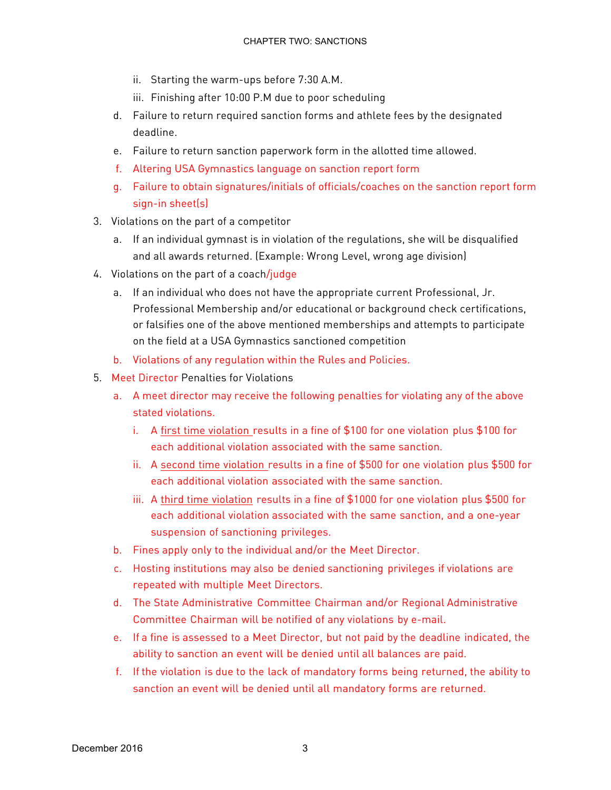- ii. Starting the warm-ups before 7:30 A.M.
- iii. Finishing after 10:00 P.M due to poor scheduling
- d. Failure to return required sanction forms and athlete fees by the designated deadline.
- e. Failure to return sanction paperwork form in the allotted time allowed.
- f. Altering USA Gymnastics language on sanction report form
- g. Failure to obtain signatures/initials of officials/coaches on the sanction report form sign-in sheet(s)
- 3. Violations on the part of a competitor
	- a. If an individual gymnast is in violation of the regulations, she will be disqualified and all awards returned. (Example: Wrong Level, wrong age division)
- 4. Violations on the part of a coach/judge
	- a. If an individual who does not have the appropriate current Professional, Jr. Professional Membership and/or educational or background check certifications, or falsifies one of the above mentioned memberships and attempts to participate on the field at a USA Gymnastics sanctioned competition
	- b. Violations of any regulation within the Rules and Policies.
- 5. Meet Director Penalties for Violations
	- a. A meet director may receive the following penalties for violating any of the above stated violations.
		- i. A first time violation results in a fine of \$100 for one violation plus \$100 for each additional violation associated with the same sanction.
		- ii. A second time violation results in a fine of \$500 for one violation plus \$500 for each additional violation associated with the same sanction.
		- iii. A third time violation results in a fine of \$1000 for one violation plus \$500 for each additional violation associated with the same sanction, and a one-year suspension of sanctioning privileges.
	- b. Fines apply only to the individual and/or the Meet Director.
	- c. Hosting institutions may also be denied sanctioning privileges if violations are repeated with multiple Meet Directors.
	- d. The State Administrative Committee Chairman and/or Regional Administrative Committee Chairman will be notified of any violations by e-mail.
	- e. If a fine is assessed to a Meet Director, but not paid by the deadline indicated, the ability to sanction an event will be denied until all balances are paid.
	- f. If the violation is due to the lack of mandatory forms being returned, the ability to sanction an event will be denied until all mandatory forms are returned.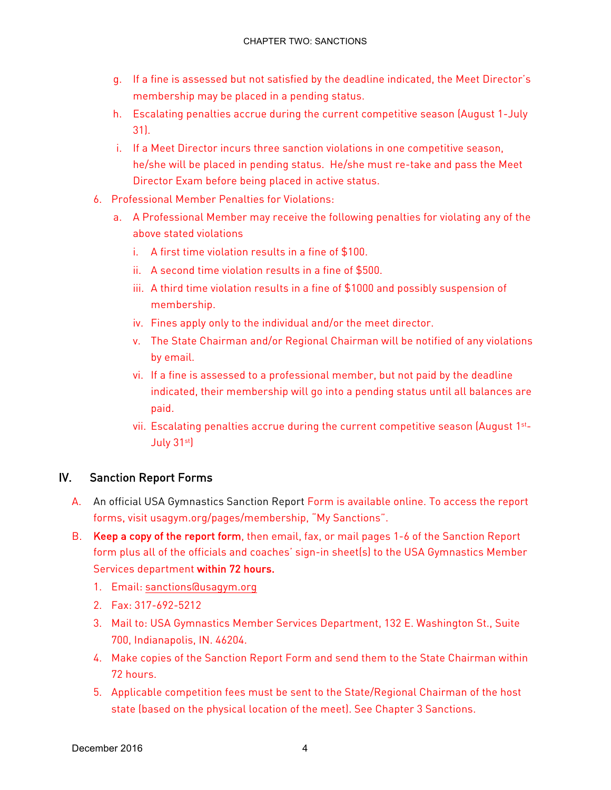- g. If a fine is assessed but not satisfied by the deadline indicated, the Meet Director's membership may be placed in a pending status.
- h. Escalating penalties accrue during the current competitive season (August 1-July 31).
- i. If a Meet Director incurs three sanction violations in one competitive season, he/she will be placed in pending status. He/she must re-take and pass the Meet Director Exam before being placed in active status.
- 6. Professional Member Penalties for Violations:
	- a. A Professional Member may receive the following penalties for violating any of the above stated violations
		- i. A first time violation results in a fine of \$100.
		- ii. A second time violation results in a fine of \$500.
		- iii. A third time violation results in a fine of \$1000 and possibly suspension of membership.
		- iv. Fines apply only to the individual and/or the meet director.
		- v. The State Chairman and/or Regional Chairman will be notified of any violations by email.
		- vi. If a fine is assessed to a professional member, but not paid by the deadline indicated, their membership will go into a pending status until all balances are paid.
		- vii. Escalating penalties accrue during the current competitive season (August 1st-July 31st)

## IV. Sanction Report Forms

- A. An official USA Gymnastics Sanction Report Form is available online. To access the report forms, visit usagym.org/pages/membership, "My Sanctions".
- B. Keep a copy of the report form, then email, fax, or mail pages 1-6 of the Sanction Report form plus all of the officials and coaches' sign-in sheet(s) to the USA Gymnastics Member Services department within 72 hours.
	- 1. Email: sanctions@usagym.org
	- 2. Fax: 317-692-5212
	- 3. Mail to: USA Gymnastics Member Services Department, 132 E. Washington St., Suite 700, Indianapolis, IN. 46204.
	- 4. Make copies of the Sanction Report Form and send them to the State Chairman within 72 hours.
	- 5. Applicable competition fees must be sent to the State/Regional Chairman of the host state (based on the physical location of the meet). See Chapter 3 Sanctions.